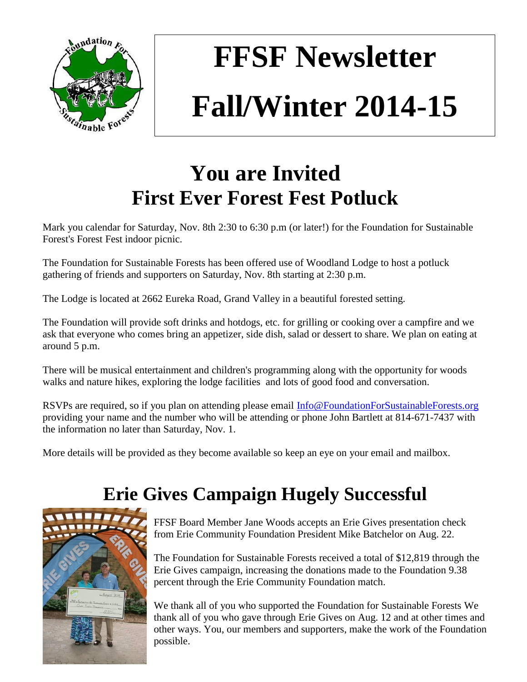

# **FFSF Newsletter Fall/Winter 2014-15**

# **You are Invited First Ever Forest Fest Potluck**

Mark you calendar for Saturday, Nov. 8th 2:30 to 6:30 p.m (or later!) for the Foundation for Sustainable Forest's Forest Fest indoor picnic.

The Foundation for Sustainable Forests has been offered use of Woodland Lodge to host a potluck gathering of friends and supporters on Saturday, Nov. 8th starting at 2:30 p.m.

The Lodge is located at 2662 Eureka Road, Grand Valley in a beautiful forested setting.

The Foundation will provide soft drinks and hotdogs, etc. for grilling or cooking over a campfire and we ask that everyone who comes bring an appetizer, side dish, salad or dessert to share. We plan on eating at around 5 p.m.

There will be musical entertainment and children's programming along with the opportunity for woods walks and nature hikes, exploring the lodge facilities and lots of good food and conversation.

RSVPs are required, so if you plan on attending please email [Info@FoundationForSustainableForests.org](mailto:Info@FoundationForSustainableForests.org) providing your name and the number who will be attending or phone John Bartlett at 814-671-7437 with the information no later than Saturday, Nov. 1.

More details will be provided as they become available so keep an eye on your email and mailbox.

## **Erie Gives Campaign Hugely Successful**



FFSF Board Member Jane Woods accepts an Erie Gives presentation check from Erie Community Foundation President Mike Batchelor on Aug. 22.

The Foundation for Sustainable Forests received a total of \$12,819 through the Erie Gives campaign, increasing the donations made to the Foundation 9.38 percent through the Erie Community Foundation match.

We thank all of you who supported the Foundation for Sustainable Forests We thank all of you who gave through Erie Gives on Aug. 12 and at other times and other ways. You, our members and supporters, make the work of the Foundation possible.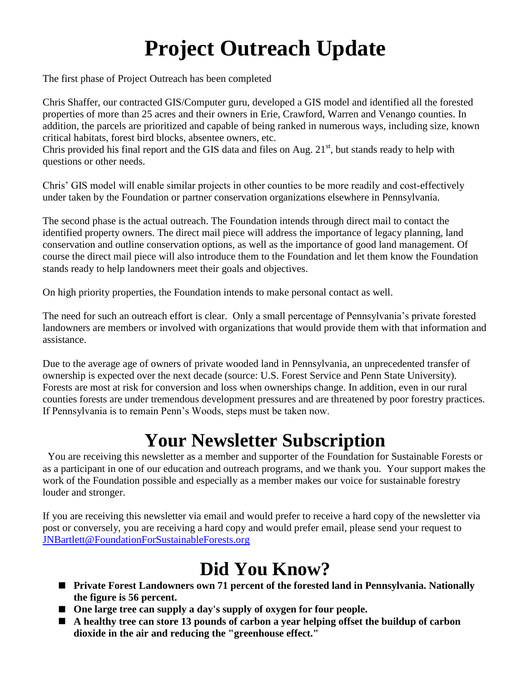# **Project Outreach Update**

The first phase of Project Outreach has been completed

Chris Shaffer, our contracted GIS/Computer guru, developed a GIS model and identified all the forested properties of more than 25 acres and their owners in Erie, Crawford, Warren and Venango counties. In addition, the parcels are prioritized and capable of being ranked in numerous ways, including size, known critical habitats, forest bird blocks, absentee owners, etc.

Chris provided his final report and the GIS data and files on Aug.  $21<sup>st</sup>$ , but stands ready to help with questions or other needs.

Chris' GIS model will enable similar projects in other counties to be more readily and cost-effectively under taken by the Foundation or partner conservation organizations elsewhere in Pennsylvania.

The second phase is the actual outreach. The Foundation intends through direct mail to contact the identified property owners. The direct mail piece will address the importance of legacy planning, land conservation and outline conservation options, as well as the importance of good land management. Of course the direct mail piece will also introduce them to the Foundation and let them know the Foundation stands ready to help landowners meet their goals and objectives.

On high priority properties, the Foundation intends to make personal contact as well.

The need for such an outreach effort is clear. Only a small percentage of Pennsylvania's private forested landowners are members or involved with organizations that would provide them with that information and assistance.

Due to the average age of owners of private wooded land in Pennsylvania, an unprecedented transfer of ownership is expected over the next decade (source: U.S. Forest Service and Penn State University). Forests are most at risk for conversion and loss when ownerships change. In addition, even in our rural counties forests are under tremendous development pressures and are threatened by poor forestry practices. If Pennsylvania is to remain Penn's Woods, steps must be taken now.

## **Your Newsletter Subscription**

You are receiving this newsletter as a member and supporter of the Foundation for Sustainable Forests or as a participant in one of our education and outreach programs, and we thank you. Your support makes the work of the Foundation possible and especially as a member makes our voice for sustainable forestry louder and stronger.

If you are receiving this newsletter via email and would prefer to receive a hard copy of the newsletter via post or conversely, you are receiving a hard copy and would prefer email, please send your request to [JNBartlett@FoundationForSustainableForests.org](mailto:JNBartlett@FoundationForSustainableForests.org)

## **Did You Know?**

- **Private Forest Landowners own 71 percent of the forested land in Pennsylvania. Nationally the figure is 56 percent.**
- One large tree can supply a day's supply of oxygen for four people.
- **A healthy tree can store 13 pounds of carbon a year helping offset the buildup of carbon dioxide in the air and reducing the "greenhouse effect."**